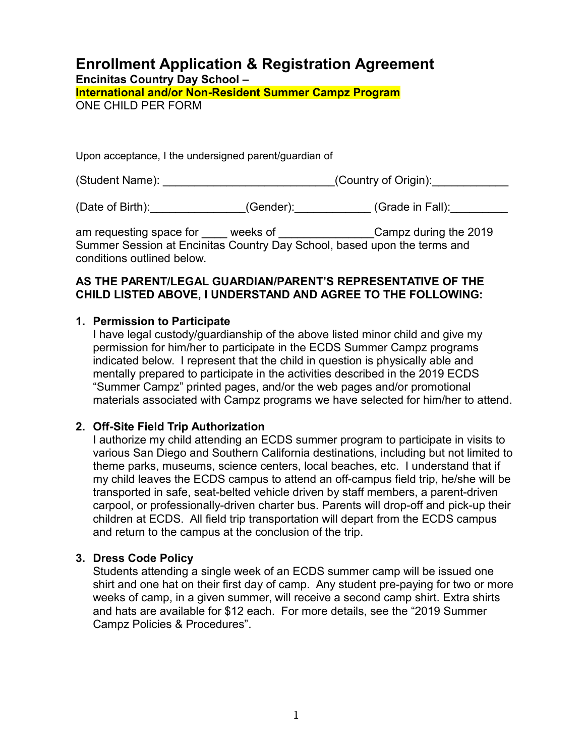# **Enrollment Application & Registration Agreement**

**Encinitas Country Day School –** 

**International and/or Non-Resident Summer Campz Program** ONE CHILD PER FORM

Upon acceptance, I the undersigned parent/guardian of

(Student Name): \_\_\_\_\_\_\_\_\_\_\_\_\_\_\_\_\_\_\_\_\_\_\_\_\_\_\_\_\_\_\_\_\_(Country of Origin): \_\_\_\_

(Date of Birth): (Gender): (Gender): (Grade in Fall):

am requesting space for \_\_\_\_\_ weeks of \_\_\_\_\_\_\_\_\_\_\_\_\_\_\_\_\_Campz during the 2019 Summer Session at Encinitas Country Day School, based upon the terms and conditions outlined below.

### **AS THE PARENT/LEGAL GUARDIAN/PARENT'S REPRESENTATIVE OF THE CHILD LISTED ABOVE, I UNDERSTAND AND AGREE TO THE FOLLOWING:**

# **1. Permission to Participate**

I have legal custody/guardianship of the above listed minor child and give my permission for him/her to participate in the ECDS Summer Campz programs indicated below. I represent that the child in question is physically able and mentally prepared to participate in the activities described in the 2019 ECDS "Summer Campz" printed pages, and/or the web pages and/or promotional materials associated with Campz programs we have selected for him/her to attend.

### **2. Off-Site Field Trip Authorization**

I authorize my child attending an ECDS summer program to participate in visits to various San Diego and Southern California destinations, including but not limited to theme parks, museums, science centers, local beaches, etc. I understand that if my child leaves the ECDS campus to attend an off-campus field trip, he/she will be transported in safe, seat-belted vehicle driven by staff members, a parent-driven carpool, or professionally-driven charter bus. Parents will drop-off and pick-up their children at ECDS. All field trip transportation will depart from the ECDS campus and return to the campus at the conclusion of the trip.

### **3. Dress Code Policy**

Students attending a single week of an ECDS summer camp will be issued one shirt and one hat on their first day of camp. Any student pre-paying for two or more weeks of camp, in a given summer, will receive a second camp shirt. Extra shirts and hats are available for \$12 each. For more details, see the "2019 Summer Campz Policies & Procedures".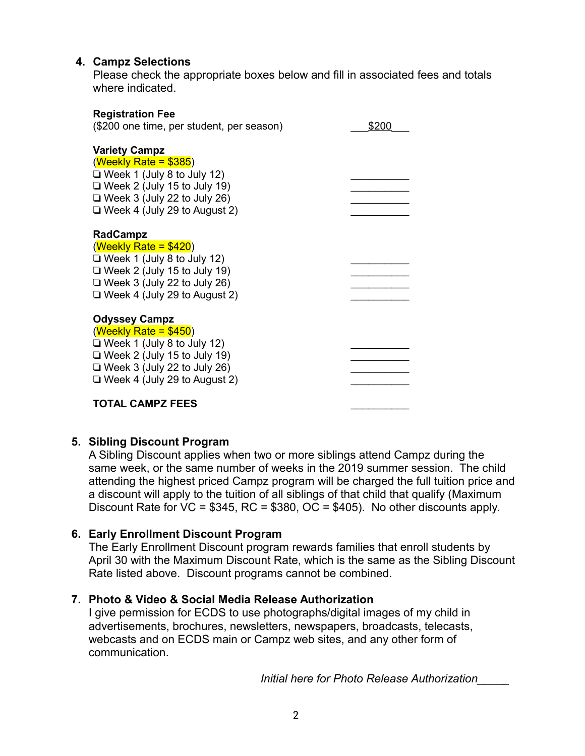# **4. Campz Selections**

Please check the appropriate boxes below and fill in associated fees and totals where indicated.

| <b>Registration Fee</b>                                                                                                                                                                                |       |
|--------------------------------------------------------------------------------------------------------------------------------------------------------------------------------------------------------|-------|
| (\$200 one time, per student, per season)                                                                                                                                                              | \$200 |
| <b>Variety Campz</b><br>$(Weekly Rate = $385)$<br>$\Box$ Week 1 (July 8 to July 12)<br>$\Box$ Week 2 (July 15 to July 19)<br>$\Box$ Week 3 (July 22 to July 26)<br>$\Box$ Week 4 (July 29 to August 2) |       |
| <b>RadCampz</b><br>$(Weekly Rate = $420)$<br>$\Box$ Week 1 (July 8 to July 12)<br>$\Box$ Week 2 (July 15 to July 19)<br>$\Box$ Week 3 (July 22 to July 26)<br>$\Box$ Week 4 (July 29 to August 2)      |       |
| <b>Odyssey Campz</b><br>$(Weekly Rate = $450)$<br>$\Box$ Week 1 (July 8 to July 12)<br>$\Box$ Week 2 (July 15 to July 19)<br>$\Box$ Week 3 (July 22 to July 26)<br>$\Box$ Week 4 (July 29 to August 2) |       |
| <b>TOTAL CAMPZ FEES</b>                                                                                                                                                                                |       |

### **5. Sibling Discount Program**

A Sibling Discount applies when two or more siblings attend Campz during the same week, or the same number of weeks in the 2019 summer session. The child attending the highest priced Campz program will be charged the full tuition price and a discount will apply to the tuition of all siblings of that child that qualify (Maximum Discount Rate for  $\overline{VC} = $345$ , RC = \$380,  $\overline{OC} = $405$ ). No other discounts apply.

## **6. Early Enrollment Discount Program**

The Early Enrollment Discount program rewards families that enroll students by April 30 with the Maximum Discount Rate, which is the same as the Sibling Discount Rate listed above. Discount programs cannot be combined.

### **7. Photo & Video & Social Media Release Authorization**

I give permission for ECDS to use photographs/digital images of my child in advertisements, brochures, newsletters, newspapers, broadcasts, telecasts, webcasts and on ECDS main or Campz web sites, and any other form of communication.

*Initial here for Photo Release Authorization\_\_\_\_\_*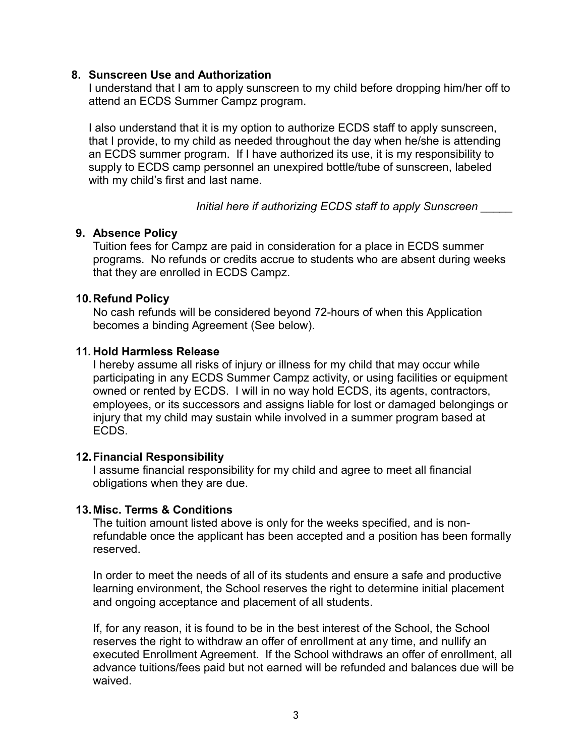#### **8. Sunscreen Use and Authorization**

I understand that I am to apply sunscreen to my child before dropping him/her off to attend an ECDS Summer Campz program.

I also understand that it is my option to authorize ECDS staff to apply sunscreen, that I provide, to my child as needed throughout the day when he/she is attending an ECDS summer program. If I have authorized its use, it is my responsibility to supply to ECDS camp personnel an unexpired bottle/tube of sunscreen, labeled with my child's first and last name.

*Initial here if authorizing ECDS staff to apply Sunscreen \_\_\_\_\_*

### **9. Absence Policy**

Tuition fees for Campz are paid in consideration for a place in ECDS summer programs. No refunds or credits accrue to students who are absent during weeks that they are enrolled in ECDS Campz.

#### **10.Refund Policy**

No cash refunds will be considered beyond 72-hours of when this Application becomes a binding Agreement (See below).

#### **11. Hold Harmless Release**

I hereby assume all risks of injury or illness for my child that may occur while participating in any ECDS Summer Campz activity, or using facilities or equipment owned or rented by ECDS. I will in no way hold ECDS, its agents, contractors, employees, or its successors and assigns liable for lost or damaged belongings or injury that my child may sustain while involved in a summer program based at ECDS.

### **12.Financial Responsibility**

I assume financial responsibility for my child and agree to meet all financial obligations when they are due.

#### **13.Misc. Terms & Conditions**

The tuition amount listed above is only for the weeks specified, and is nonrefundable once the applicant has been accepted and a position has been formally reserved.

In order to meet the needs of all of its students and ensure a safe and productive learning environment, the School reserves the right to determine initial placement and ongoing acceptance and placement of all students.

If, for any reason, it is found to be in the best interest of the School, the School reserves the right to withdraw an offer of enrollment at any time, and nullify an executed Enrollment Agreement. If the School withdraws an offer of enrollment, all advance tuitions/fees paid but not earned will be refunded and balances due will be waived.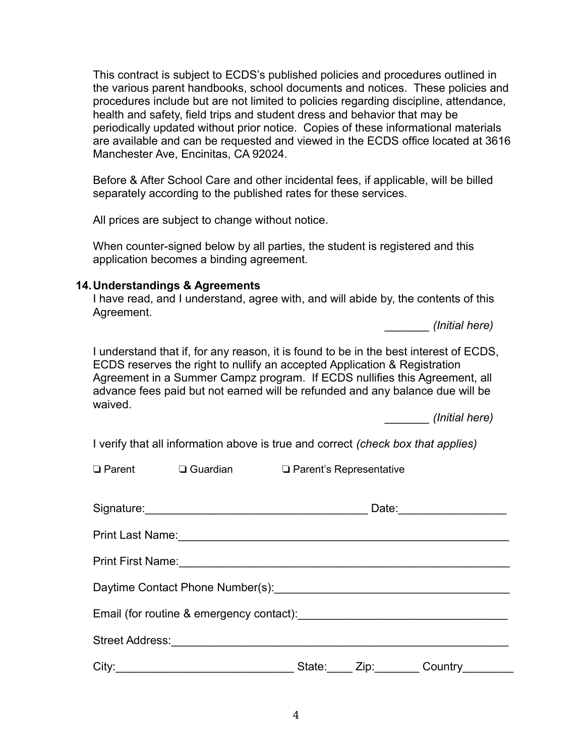This contract is subject to ECDS's published policies and procedures outlined in the various parent handbooks, school documents and notices. These policies and procedures include but are not limited to policies regarding discipline, attendance, health and safety, field trips and student dress and behavior that may be periodically updated without prior notice. Copies of these informational materials are available and can be requested and viewed in the ECDS office located at 3616 Manchester Ave, Encinitas, CA 92024.

Before & After School Care and other incidental fees, if applicable, will be billed separately according to the published rates for these services.

All prices are subject to change without notice.

When counter-signed below by all parties, the student is registered and this application becomes a binding agreement.

#### **14.Understandings & Agreements**

I have read, and I understand, agree with, and will abide by, the contents of this Agreement.

*\_\_\_\_\_\_\_ (Initial here)*

I understand that if, for any reason, it is found to be in the best interest of ECDS, ECDS reserves the right to nullify an accepted Application & Registration Agreement in a Summer Campz program. If ECDS nullifies this Agreement, all advance fees paid but not earned will be refunded and any balance due will be waived.

*\_\_\_\_\_\_\_ (Initial here)*

I verify that all information above is true and correct *(check box that applies)*

 $\Box$  Parent  $\Box$  Guardian  $\Box$  Parent's Representative

|       |        |                                                                                                      | Date:____________________ |
|-------|--------|------------------------------------------------------------------------------------------------------|---------------------------|
|       |        |                                                                                                      |                           |
|       |        |                                                                                                      |                           |
|       |        |                                                                                                      |                           |
|       |        |                                                                                                      |                           |
|       |        |                                                                                                      |                           |
| City: | State: | Zip: The Solid State State State State State State State State State State State State State State S | Country                   |